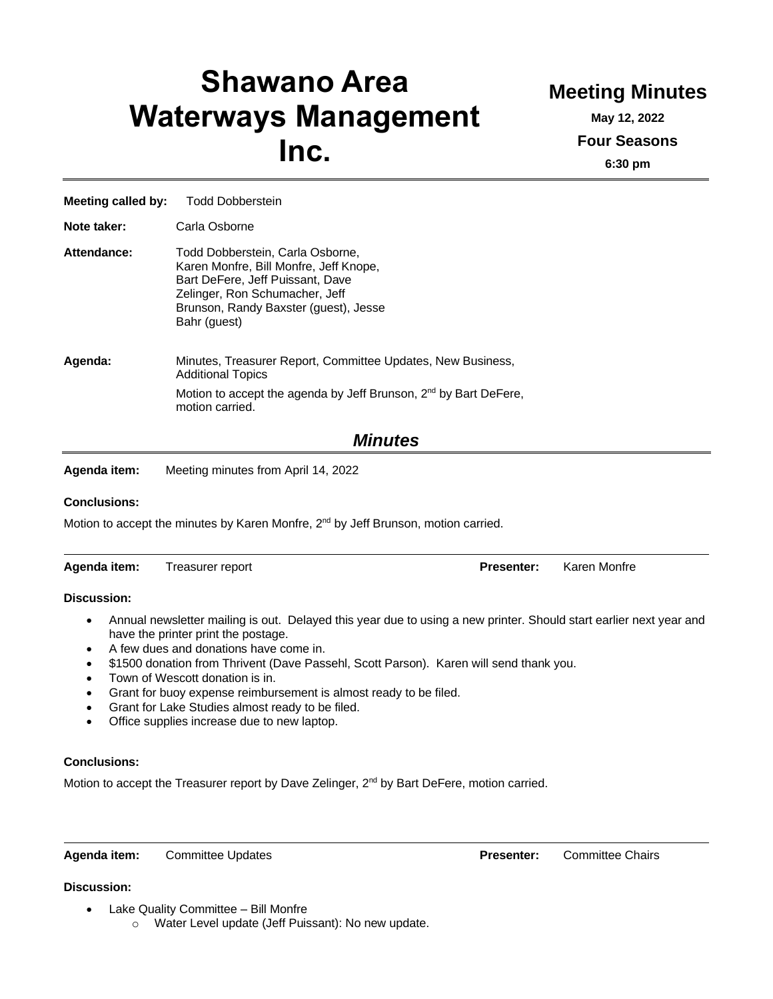# **Shawano Area Waterways Management Inc.**

## **Meeting Minutes**

**May 12, 2022 Four Seasons 6:30 pm**

| <b>Meeting called by:</b> | <b>Todd Dobberstein</b>                                                                                                                                                                                   |  |  |
|---------------------------|-----------------------------------------------------------------------------------------------------------------------------------------------------------------------------------------------------------|--|--|
| Note taker:               | Carla Osborne                                                                                                                                                                                             |  |  |
| Attendance:               | Todd Dobberstein, Carla Osborne,<br>Karen Monfre, Bill Monfre, Jeff Knope,<br>Bart DeFere, Jeff Puissant, Dave<br>Zelinger, Ron Schumacher, Jeff<br>Brunson, Randy Baxster (guest), Jesse<br>Bahr (quest) |  |  |
| Agenda:                   | Minutes, Treasurer Report, Committee Updates, New Business,<br><b>Additional Topics</b><br>Motion to accept the agenda by Jeff Brunson, 2 <sup>nd</sup> by Bart DeFere,<br>motion carried.                |  |  |
|                           |                                                                                                                                                                                                           |  |  |

### *Minutes*

**Agenda item:** Meeting minutes from April 14, 2022

#### **Conclusions:**

Motion to accept the minutes by Karen Monfre, 2<sup>nd</sup> by Jeff Brunson, motion carried.

| Agenda item: | Treasurer report | <b>Presenter:</b> Karen Monfre |  |
|--------------|------------------|--------------------------------|--|
|              |                  |                                |  |

#### **Discussion:**

- Annual newsletter mailing is out. Delayed this year due to using a new printer. Should start earlier next year and have the printer print the postage.
- A few dues and donations have come in.
- \$1500 donation from Thrivent (Dave Passehl, Scott Parson). Karen will send thank you.
- Town of Wescott donation is in.
- Grant for buoy expense reimbursement is almost ready to be filed.
- Grant for Lake Studies almost ready to be filed.
- Office supplies increase due to new laptop.

#### **Conclusions:**

Motion to accept the Treasurer report by Dave Zelinger, 2<sup>nd</sup> by Bart DeFere, motion carried.

**Agenda item:** Committee Updates **Presenter:** Committee Chairs

#### **Discussion:**

- Lake Quality Committee Bill Monfre
	- o Water Level update (Jeff Puissant): No new update.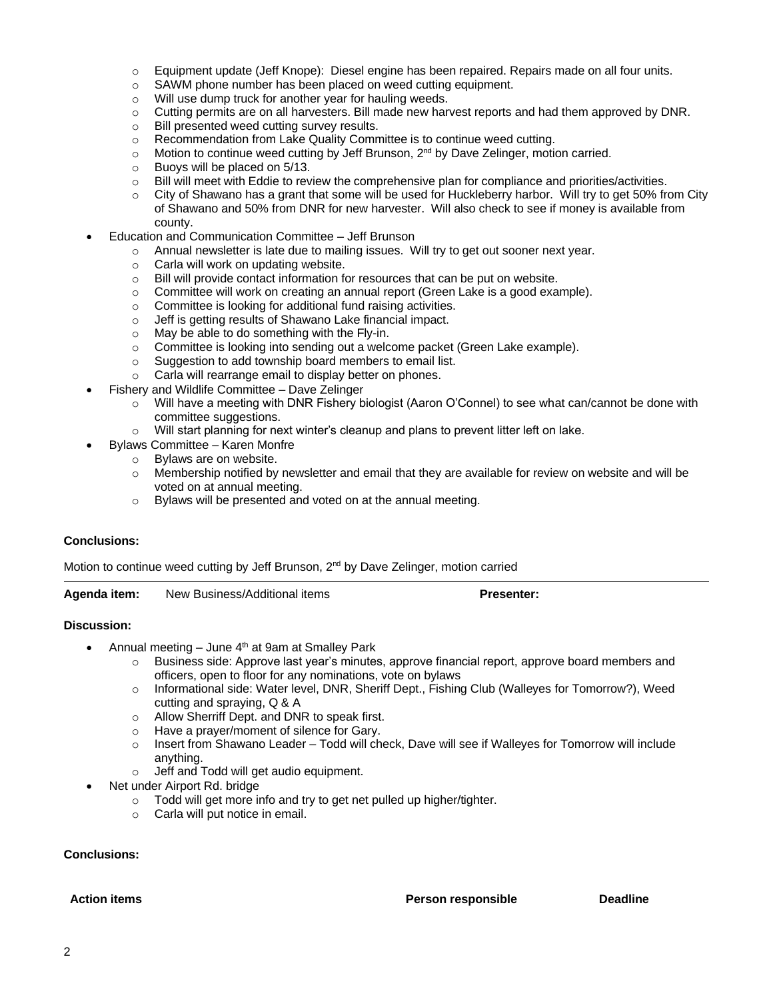- o Equipment update (Jeff Knope): Diesel engine has been repaired. Repairs made on all four units.
- o SAWM phone number has been placed on weed cutting equipment.
- o Will use dump truck for another year for hauling weeds.
- $\circ$  Cutting permits are on all harvesters. Bill made new harvest reports and had them approved by DNR.
- o Bill presented weed cutting survey results.
- $\circ$  Recommendation from Lake Quality Committee is to continue weed cutting.
- $\circ$  Motion to continue weed cutting by Jeff Brunson, 2<sup>nd</sup> by Dave Zelinger, motion carried.
- o Buoys will be placed on 5/13.
- o Bill will meet with Eddie to review the comprehensive plan for compliance and priorities/activities.
- o City of Shawano has a grant that some will be used for Huckleberry harbor. Will try to get 50% from City of Shawano and 50% from DNR for new harvester. Will also check to see if money is available from county.
- Education and Communication Committee Jeff Brunson
	- $\circ$  Annual newsletter is late due to mailing issues. Will try to get out sooner next year.
	- o Carla will work on updating website.
	- o Bill will provide contact information for resources that can be put on website.
	- o Committee will work on creating an annual report (Green Lake is a good example).
	- o Committee is looking for additional fund raising activities.
	- o Jeff is getting results of Shawano Lake financial impact.
	- o May be able to do something with the Fly-in.
	- o Committee is looking into sending out a welcome packet (Green Lake example).
	- o Suggestion to add township board members to email list.
	- o Carla will rearrange email to display better on phones.
- Fishery and Wildlife Committee Dave Zelinger
	- o Will have a meeting with DNR Fishery biologist (Aaron O'Connel) to see what can/cannot be done with committee suggestions.
	- o Will start planning for next winter's cleanup and plans to prevent litter left on lake.
- Bylaws Committee Karen Monfre
	- o Bylaws are on website.
	- $\circ$  Membership notified by newsletter and email that they are available for review on website and will be voted on at annual meeting.
	- o Bylaws will be presented and voted on at the annual meeting.

#### **Conclusions:**

Motion to continue weed cutting by Jeff Brunson, 2<sup>nd</sup> by Dave Zelinger, motion carried

**Agenda item:** New Business/Additional items **Presenter:**

#### **Discussion:**

- Annual meeting  $-$  June  $4<sup>th</sup>$  at 9am at Smalley Park
	- o Business side: Approve last year's minutes, approve financial report, approve board members and officers, open to floor for any nominations, vote on bylaws
	- o Informational side: Water level, DNR, Sheriff Dept., Fishing Club (Walleyes for Tomorrow?), Weed cutting and spraying, Q & A
	- o Allow Sherriff Dept. and DNR to speak first.
	- o Have a prayer/moment of silence for Gary.
	- $\circ$  Insert from Shawano Leader Todd will check, Dave will see if Walleyes for Tomorrow will include anything.
	- o Jeff and Todd will get audio equipment.
	- Net under Airport Rd. bridge
		- o Todd will get more info and try to get net pulled up higher/tighter.
		- o Carla will put notice in email.

#### **Conclusions:**

**Action items Person responsible Deadline**